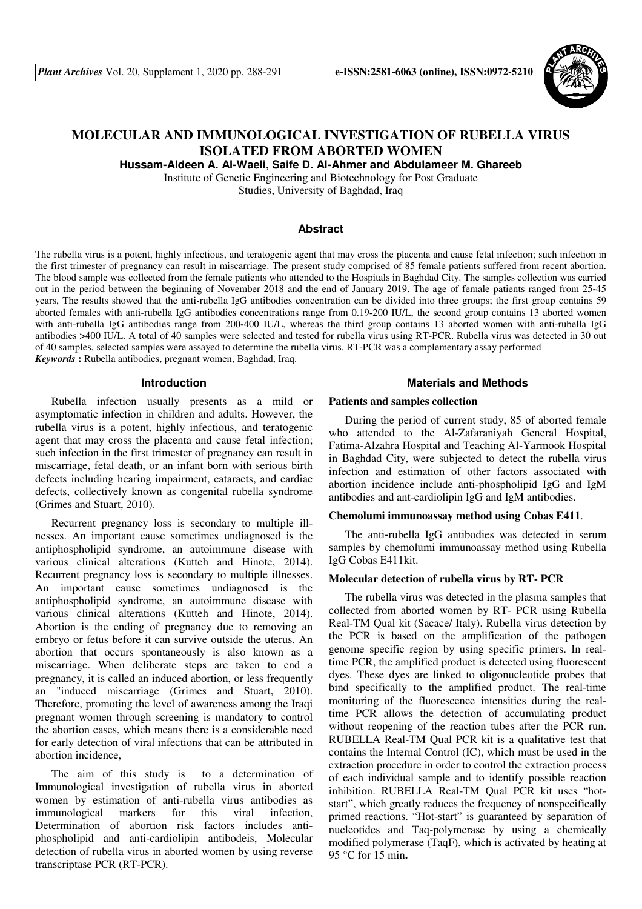

# **MOLECULAR AND IMMUNOLOGICAL INVESTIGATION OF RUBELLA VIRUS ISOLATED FROM ABORTED WOMEN**

**Hussam-Aldeen A. Al-Waeli, Saife D. Al-Ahmer and Abdulameer M. Ghareeb** 

Institute of Genetic Engineering and Biotechnology for Post Graduate

Studies, University of Baghdad, Iraq

### **Abstract**

The rubella virus is a potent, highly infectious, and teratogenic agent that may cross the placenta and cause fetal infection; such infection in the first trimester of pregnancy can result in miscarriage. The present study comprised of 85 female patients suffered from recent abortion. The blood sample was collected from the female patients who attended to the Hospitals in Baghdad City. The samples collection was carried out in the period between the beginning of November 2018 and the end of January 2019. The age of female patients ranged from 25**-**45 years, The results showed that the anti**-**rubella IgG antibodies concentration can be divided into three groups; the first group contains 59 aborted females with anti-rubella IgG antibodies concentrations range from 0.19**-**200 IU/L, the second group contains 13 aborted women with anti-rubella IgG antibodies range from 200**-**400 IU/L, whereas the third group contains 13 aborted women with anti-rubella IgG antibodies >400 IU/L. A total of 40 samples were selected and tested for rubella virus using RT-PCR. Rubella virus was detected in 30 out of 40 samples, selected samples were assayed to determine the rubella virus. RT-PCR was a complementary assay performed *Keywords* **:** Rubella antibodies, pregnant women, Baghdad, Iraq.

#### **Introduction**

Rubella infection usually presents as a mild or asymptomatic infection in children and adults. However, the rubella virus is a potent, highly infectious, and teratogenic agent that may cross the placenta and cause fetal infection; such infection in the first trimester of pregnancy can result in miscarriage, fetal death, or an infant born with serious birth defects including hearing impairment, cataracts, and cardiac defects, collectively known as congenital rubella syndrome (Grimes and Stuart, 2010).

Recurrent pregnancy loss is secondary to multiple illnesses. An important cause sometimes undiagnosed is the antiphospholipid syndrome, an autoimmune disease with various clinical alterations (Kutteh and Hinote, 2014). Recurrent pregnancy loss is secondary to multiple illnesses. An important cause sometimes undiagnosed is the antiphospholipid syndrome, an autoimmune disease with various clinical alterations (Kutteh and Hinote, 2014). Abortion is the ending of pregnancy due to removing an embryo or fetus before it can survive outside the uterus. An abortion that occurs spontaneously is also known as a miscarriage. When deliberate steps are taken to end a pregnancy, it is called an induced abortion, or less frequently an "induced miscarriage (Grimes and Stuart, 2010). Therefore, promoting the level of awareness among the Iraqi pregnant women through screening is mandatory to control the abortion cases, which means there is a considerable need for early detection of viral infections that can be attributed in abortion incidence,

The aim of this study is to a determination of Immunological investigation of rubella virus in aborted women by estimation of anti-rubella virus antibodies as immunological markers for this viral infection, Determination of abortion risk factors includes antiphospholipid and anti-cardiolipin antibodeis, Molecular detection of rubella virus in aborted women by using reverse transcriptase PCR (RT-PCR).

# **Materials and Methods**

#### **Patients and samples collection**

During the period of current study, 85 of aborted female who attended to the Al-Zafaraniyah General Hospital, Fatima-Alzahra Hospital and Teaching Al-Yarmook Hospital in Baghdad City, were subjected to detect the rubella virus infection and estimation of other factors associated with abortion incidence include anti-phospholipid IgG and IgM antibodies and ant-cardiolipin IgG and IgM antibodies.

### **Chemolumi immunoassay method using Cobas E411**.

The anti**-**rubella IgG antibodies was detected in serum samples by chemolumi immunoassay method using Rubella IgG Cobas E411kit.

#### **Molecular detection of rubella virus by RT- PCR**

The rubella virus was detected in the plasma samples that collected from aborted women by RT- PCR using Rubella Real-TM Qual kit (Sacace/ Italy). Rubella virus detection by the PCR is based on the amplification of the pathogen genome specific region by using specific primers. In realtime PCR, the amplified product is detected using fluorescent dyes. These dyes are linked to oligonucleotide probes that bind specifically to the amplified product. The real-time monitoring of the fluorescence intensities during the realtime PCR allows the detection of accumulating product without reopening of the reaction tubes after the PCR run. RUBELLA Real-TM Qual PCR kit is a qualitative test that contains the Internal Control (IC), which must be used in the extraction procedure in order to control the extraction process of each individual sample and to identify possible reaction inhibition. RUBELLA Real-TM Qual PCR kit uses "hotstart", which greatly reduces the frequency of nonspecifically primed reactions. "Hot-start" is guaranteed by separation of nucleotides and Taq-polymerase by using a chemically modified polymerase (TaqF), which is activated by heating at 95 °C for 15 min**.**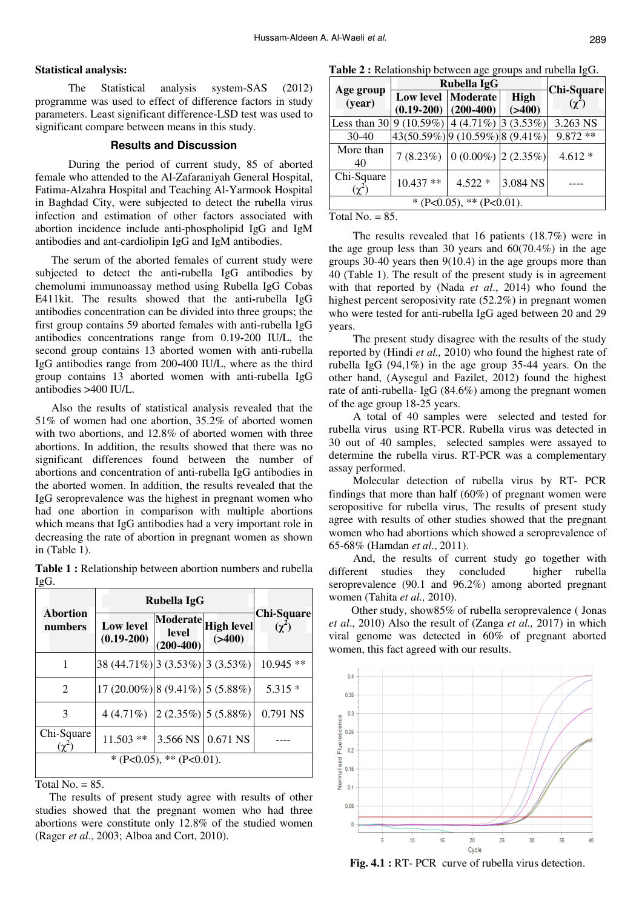#### **Statistical analysis:**

 The Statistical analysis system-SAS (2012) programme was used to effect of difference factors in study parameters. Least significant difference-LSD test was used to significant compare between means in this study.

#### **Results and Discussion**

During the period of current study, 85 of aborted female who attended to the Al-Zafaraniyah General Hospital, Fatima-Alzahra Hospital and Teaching Al-Yarmook Hospital in Baghdad City, were subjected to detect the rubella virus infection and estimation of other factors associated with abortion incidence include anti-phospholipid IgG and IgM antibodies and ant-cardiolipin IgG and IgM antibodies.

The serum of the aborted females of current study were subjected to detect the anti**-**rubella IgG antibodies by chemolumi immunoassay method using Rubella IgG Cobas E411kit. The results showed that the anti**-**rubella IgG antibodies concentration can be divided into three groups; the first group contains 59 aborted females with anti-rubella IgG antibodies concentrations range from 0.19**-**200 IU/L, the second group contains 13 aborted women with anti-rubella IgG antibodies range from 200**-**400 IU/L, where as the third group contains 13 aborted women with anti-rubella IgG antibodies >400 IU/L.

Also the results of statistical analysis revealed that the 51% of women had one abortion, 35.2% of aborted women with two abortions, and 12.8% of aborted women with three abortions. In addition, the results showed that there was no significant differences found between the number of abortions and concentration of anti-rubella IgG antibodies in the aborted women. In addition, the results revealed that the IgG seroprevalence was the highest in pregnant women who had one abortion in comparison with multiple abortions which means that IgG antibodies had a very important role in decreasing the rate of abortion in pregnant women as shown in (Table 1).

|      | Table 1 : Relationship between abortion numbers and rubella |  |  |
|------|-------------------------------------------------------------|--|--|
| IgG. |                                                             |  |  |

|                            | Rubella IgG                        |                                           |                               |                                 |  |  |
|----------------------------|------------------------------------|-------------------------------------------|-------------------------------|---------------------------------|--|--|
| <b>Abortion</b><br>numbers | <b>Low level</b><br>$(0.19 - 200)$ | <b>Moderate</b><br>level<br>$(200 - 400)$ | <b>High level</b><br>( > 400) | <b>Chi-Square</b><br>$(\chi^2)$ |  |  |
| 1                          | 38 (44.71%) 3 (3.53%) 3 (3.53%)    |                                           |                               | $10.945**$                      |  |  |
| 2                          | $17(20.00\%)$ 8 (9.41%) 5 (5.88%)  |                                           |                               | $5.315*$                        |  |  |
| 3                          | $4(4.71\%)$                        |                                           | $2(2.35\%)$ 5 (5.88%)         | 0.791 NS                        |  |  |
| Chi-Square                 | $11.503$ **                        |                                           | 3.566 NS $\mid$ 0.671 NS      |                                 |  |  |
| * (P<0.05), ** (P<0.01).   |                                    |                                           |                               |                                 |  |  |

Total No.  $= 85$ .

 The results of present study agree with results of other studies showed that the pregnant women who had three abortions were constitute only 12.8% of the studied women (Rager *et al*., 2003; Alboa and Cort, 2010).

**Table 2 :** Relationship between age groups and rubella IgG.

|                                                   | <b>Rubella IgG</b>              | <b>Chi-Square</b>                           |          |            |  |  |
|---------------------------------------------------|---------------------------------|---------------------------------------------|----------|------------|--|--|
| Age group<br>(year)                               |                                 | <b>Low level Moderate</b>                   | High     | $(\chi^2)$ |  |  |
|                                                   | $(0.19-200)$ (200-400)          |                                             | ( > 400) |            |  |  |
| Less than 30   9 (10.59%)   4 (4.71%)   3 (3.53%) |                                 |                                             |          | 3.263 NS   |  |  |
| $30 - 40$                                         | 43(50.59%) 9 (10.59%) 8 (9.41%) |                                             |          | 9.872 **   |  |  |
| More than<br>40                                   | $7(8.23\%)$                     | $\vert 0.00\% \rangle \vert 2.35\% \rangle$ |          | $4.612*$   |  |  |
| Chi-Square<br>$(\gamma^2)$                        | $10.437**$                      | $4.522*$                                    | 3.084 NS |            |  |  |
| * (P<0.05), ** (P<0.01).                          |                                 |                                             |          |            |  |  |

Total No.  $= 85$ .

The results revealed that 16 patients (18.7%) were in the age group less than 30 years and  $60(70.4%)$  in the age groups 30-40 years then 9(10.4) in the age groups more than 40 (Table 1). The result of the present study is in agreement with that reported by (Nada *et al*., 2014) who found the highest percent seroposivity rate (52.2%) in pregnant women who were tested for anti-rubella IgG aged between 20 and 29 years.

The present study disagree with the results of the study reported by (Hindi *et al.,* 2010) who found the highest rate of rubella IgG (94,1%) in the age group 35-44 years. On the other hand, (Aysegul and Fazilet, 2012) found the highest rate of anti-rubella- IgG (84.6%) among the pregnant women of the age group 18-25 years.

A total of 40 samples were selected and tested for rubella virus using RT-PCR. Rubella virus was detected in 30 out of 40 samples, selected samples were assayed to determine the rubella virus. RT-PCR was a complementary assay performed.

Molecular detection of rubella virus by RT- PCR findings that more than half (60%) of pregnant women were seropositive for rubella virus, The results of present study agree with results of other studies showed that the pregnant women who had abortions which showed a seroprevalence of 65-68% (Hamdan *et al*., 2011).

And, the results of current study go together with different studies they concluded higher rubella seroprevalence (90.1 and 96.2%) among aborted pregnant women (Tahita *et al.,* 2010).

 Other study, show85% of rubella seroprevalence ( Jonas *et al*., 2010) Also the result of (Zanga *et al.,* 2017) in which viral genome was detected in 60% of pregnant aborted women, this fact agreed with our results.



**Fig. 4.1 : RT- PCR** curve of rubella virus detection.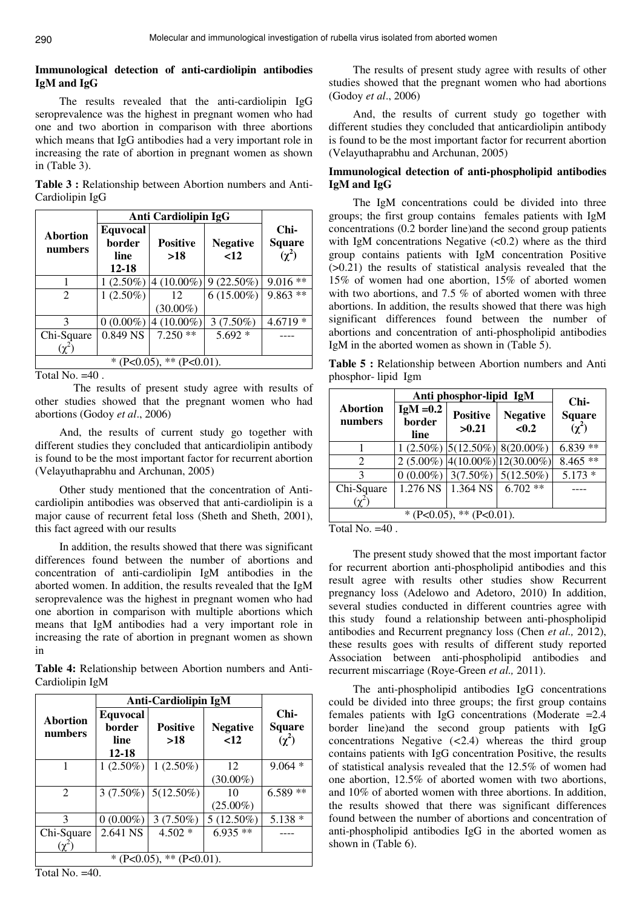# **Immunological detection of anti-cardiolipin antibodies IgM and IgG**

The results revealed that the anti-cardiolipin IgG seroprevalence was the highest in pregnant women who had one and two abortion in comparison with three abortions which means that IgG antibodies had a very important role in increasing the rate of abortion in pregnant women as shown in (Table 3).

|                 | Table 3 : Relationship between Abortion numbers and Anti- |  |  |  |
|-----------------|-----------------------------------------------------------|--|--|--|
| Cardiolipin IgG |                                                           |  |  |  |

|                            |                                            | <b>Anti Cardiolipin IgG</b> |                         |                                     |  |  |
|----------------------------|--------------------------------------------|-----------------------------|-------------------------|-------------------------------------|--|--|
| <b>Abortion</b><br>numbers | <b>Equvocal</b><br>border<br>line<br>12-18 | <b>Positive</b><br>>18      | <b>Negative</b><br>< 12 | Chi-<br><b>Square</b><br>$(\chi^2)$ |  |  |
|                            | $1(2.50\%)$                                | $4(10.00\%)$                | $9(22.50\%)$            | 9.016<br>$***$                      |  |  |
| $\overline{2}$             | $1(2.50\%)$                                | 12                          | $6(15.00\%)$            | $9.863$ **                          |  |  |
|                            |                                            | $(30.00\%)$                 |                         |                                     |  |  |
| 3                          | $0(0.00\%)$                                | $4(10.00\%)$                | $3(7.50\%)$             | $4.6719*$                           |  |  |
| Chi-Square                 | 0.849 NS                                   | $7.250$ **                  | $5.692*$                |                                     |  |  |
|                            |                                            |                             |                         |                                     |  |  |
| * (P<0.05), ** (P<0.01).   |                                            |                             |                         |                                     |  |  |

Total No.  $=40$ .

 The results of present study agree with results of other studies showed that the pregnant women who had abortions (Godoy *et al*., 2006)

And, the results of current study go together with different studies they concluded that anticardiolipin antibody is found to be the most important factor for recurrent abortion (Velayuthaprabhu and Archunan, 2005)

Other study mentioned that the concentration of Anticardiolipin antibodies was observed that anti-cardiolipin is a major cause of recurrent fetal loss (Sheth and Sheth, 2001), this fact agreed with our results

In addition, the results showed that there was significant differences found between the number of abortions and concentration of anti-cardiolipin IgM antibodies in the aborted women. In addition, the results revealed that the IgM seroprevalence was the highest in pregnant women who had one abortion in comparison with multiple abortions which means that IgM antibodies had a very important role in increasing the rate of abortion in pregnant women as shown in

**Table 4:** Relationship between Abortion numbers and Anti-Cardiolipin IgM

|                            | <b>Anti-Cardiolipin IgM</b>                |                        |                         |                                     |  |  |
|----------------------------|--------------------------------------------|------------------------|-------------------------|-------------------------------------|--|--|
| <b>Abortion</b><br>numbers | <b>Equvocal</b><br>border<br>line<br>12-18 | <b>Positive</b><br>>18 | <b>Negative</b><br>$12$ | Chi-<br><b>Square</b><br>$(\chi^2)$ |  |  |
|                            | $1(2.50\%)$                                | $1(2.50\%)$            | 12                      | $9.064*$                            |  |  |
|                            |                                            |                        | $(30.00\%)$             |                                     |  |  |
| 2                          | $3(7.50\%)$                                | $5(12.50\%)$           | 10                      | $***$<br>6.589                      |  |  |
|                            |                                            |                        | $(25.00\%)$             |                                     |  |  |
| 3                          | $0(0.00\%)$                                | $3(7.50\%)$            | $5(12.50\%)$            | $5.138*$                            |  |  |
| Chi-Square                 | 2.641 NS                                   | $4.502*$               | $6.935**$               |                                     |  |  |
|                            |                                            |                        |                         |                                     |  |  |
| $*(P<0.05), ** (P<0.01).$  |                                            |                        |                         |                                     |  |  |

Total No. =40.

The results of present study agree with results of other studies showed that the pregnant women who had abortions (Godoy *et al*., 2006)

And, the results of current study go together with different studies they concluded that anticardiolipin antibody is found to be the most important factor for recurrent abortion (Velayuthaprabhu and Archunan, 2005)

# **Immunological detection of anti-phospholipid antibodies IgM and IgG**

The IgM concentrations could be divided into three groups; the first group contains females patients with IgM concentrations (0.2 border line)and the second group patients with IgM concentrations Negative  $(<0.2)$  where as the third group contains patients with IgM concentration Positive (>0.21) the results of statistical analysis revealed that the 15% of women had one abortion, 15% of aborted women with two abortions, and 7.5 % of aborted women with three abortions. In addition, the results showed that there was high significant differences found between the number of abortions and concentration of anti-phospholipid antibodies IgM in the aborted women as shown in (Table 5).

**Table 5 :** Relationship between Abortion numbers and Anti phosphor- lipid Igm

|                            | Anti phosphor-lipid IgM       | Chi-                     |                                   |                             |  |
|----------------------------|-------------------------------|--------------------------|-----------------------------------|-----------------------------|--|
| <b>Abortion</b><br>numbers | $IgM = 0.2$<br>border<br>line | <b>Positive</b><br>>0.21 | <b>Negative</b><br>< 0.2          | <b>Square</b><br>$(\chi^2)$ |  |
|                            |                               |                          | $1(2.50\%)$ [5(12.50%)] 8(20.00%) | $**$<br>6.839               |  |
| 2                          |                               |                          | $2(5.00\%)$ 4(10.00%) 12(30.00%)  | $8.465**$                   |  |
| 3                          |                               |                          | $0(0.00\%)$ 3(7.50%) 5(12.50%)    | $5.173*$                    |  |
| Chi-Square                 |                               | 1.276 NS 1.364 NS        | $6.702$ **                        |                             |  |
| $\gamma^2$                 |                               |                          |                                   |                             |  |
| * (P<0.05), ** (P<0.01).   |                               |                          |                                   |                             |  |

Total No.  $=40$ .

The present study showed that the most important factor for recurrent abortion anti-phospholipid antibodies and this result agree with results other studies show Recurrent pregnancy loss (Adelowo and Adetoro, 2010) In addition, several studies conducted in different countries agree with this study found a relationship between anti-phospholipid antibodies and Recurrent pregnancy loss (Chen *et al.,* 2012), these results goes with results of different study reported Association between anti-phospholipid antibodies and recurrent miscarriage (Roye-Green *et al.,* 2011).

The anti-phospholipid antibodies IgG concentrations could be divided into three groups; the first group contains females patients with IgG concentrations (Moderate  $=2.4$ ) border line)and the second group patients with IgG concentrations Negative (*<*2.4) whereas the third group contains patients with IgG concentration Positive, the results of statistical analysis revealed that the 12.5% of women had one abortion, 12.5% of aborted women with two abortions, and 10% of aborted women with three abortions. In addition, the results showed that there was significant differences found between the number of abortions and concentration of anti-phospholipid antibodies IgG in the aborted women as shown in (Table 6).